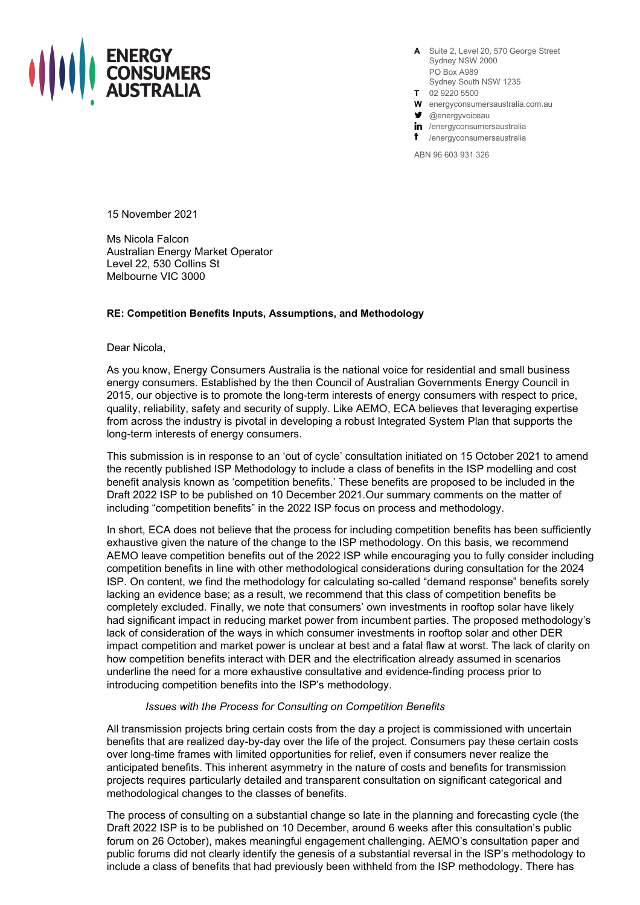

**A** Suite 2, Level 20, 570 George Street Sydney NSW 2000 PO Box A989 Sydney South NSW 1235

- **T** 02 9220 5500
- **W** energyconsumersaustralia.com.au
- $\blacktriangleright$  @energyvoiceau

in /energyconsumersaustralia

f /energyconsumersaustralia

ABN 96 603 931 326

15 November 2021

Ms Nicola Falcon Australian Energy Market Operator Level 22, 530 Collins St Melbourne VIC 3000

## **RE: Competition Benefits Inputs, Assumptions, and Methodology**

Dear Nicola,

As you know, Energy Consumers Australia is the national voice for residential and small business energy consumers. Established by the then Council of Australian Governments Energy Council in 2015, our objective is to promote the long-term interests of energy consumers with respect to price, quality, reliability, safety and security of supply. Like AEMO, ECA believes that leveraging expertise from across the industry is pivotal in developing a robust Integrated System Plan that supports the long-term interests of energy consumers.

This submission is in response to an 'out of cycle' consultation initiated on 15 October 2021 to amend the recently published ISP Methodology to include a class of benefits in the ISP modelling and cost benefit analysis known as 'competition benefits.' These benefits are proposed to be included in the Draft 2022 ISP to be published on 10 December 2021.Our summary comments on the matter of including "competition benefits" in the 2022 ISP focus on process and methodology.

In short, ECA does not believe that the process for including competition benefits has been sufficiently exhaustive given the nature of the change to the ISP methodology. On this basis, we recommend AEMO leave competition benefits out of the 2022 ISP while encouraging you to fully consider including competition benefits in line with other methodological considerations during consultation for the 2024 ISP. On content, we find the methodology for calculating so-called "demand response" benefits sorely lacking an evidence base; as a result, we recommend that this class of competition benefits be completely excluded. Finally, we note that consumers' own investments in rooftop solar have likely had significant impact in reducing market power from incumbent parties. The proposed methodology's lack of consideration of the ways in which consumer investments in rooftop solar and other DER impact competition and market power is unclear at best and a fatal flaw at worst. The lack of clarity on how competition benefits interact with DER and the electrification already assumed in scenarios underline the need for a more exhaustive consultative and evidence-finding process prior to introducing competition benefits into the ISP's methodology.

## *Issues with the Process for Consulting on Competition Benefits*

All transmission projects bring certain costs from the day a project is commissioned with uncertain benefits that are realized day-by-day over the life of the project. Consumers pay these certain costs over long-time frames with limited opportunities for relief, even if consumers never realize the anticipated benefits. This inherent asymmetry in the nature of costs and benefits for transmission projects requires particularly detailed and transparent consultation on significant categorical and methodological changes to the classes of benefits.

The process of consulting on a substantial change so late in the planning and forecasting cycle (the Draft 2022 ISP is to be published on 10 December, around 6 weeks after this consultation's public forum on 26 October), makes meaningful engagement challenging. AEMO's consultation paper and public forums did not clearly identify the genesis of a substantial reversal in the ISP's methodology to include a class of benefits that had previously been withheld from the ISP methodology. There has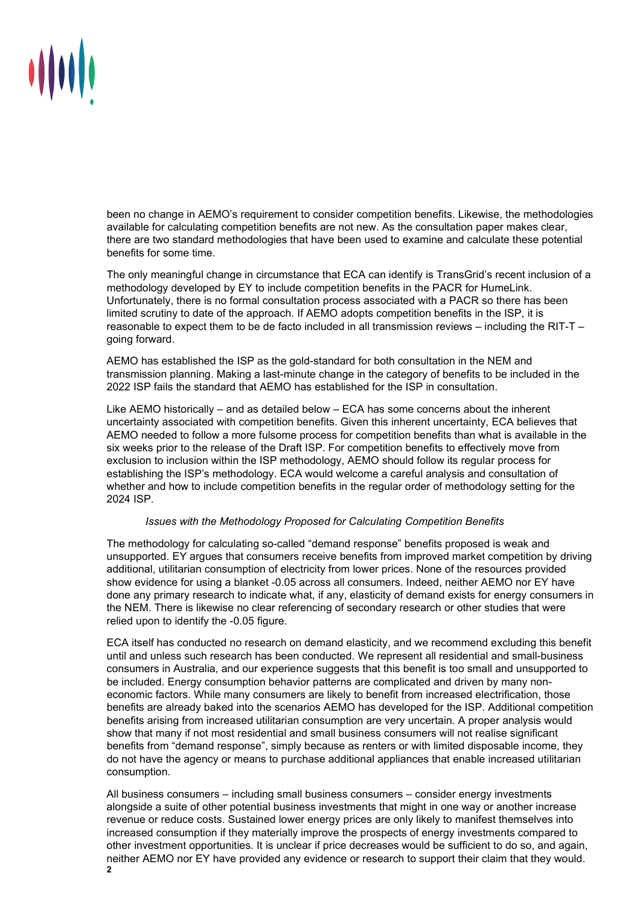

been no change in AEMO's requirement to consider competition benefits. Likewise, the methodologies available for calculating competition benefits are not new. As the consultation paper makes clear, there are two standard methodologies that have been used to examine and calculate these potential benefits for some time.

The only meaningful change in circumstance that ECA can identify is TransGrid's recent inclusion of a methodology developed by EY to include competition benefits in the PACR for HumeLink. Unfortunately, there is no formal consultation process associated with a PACR so there has been limited scrutiny to date of the approach. If AEMO adopts competition benefits in the ISP, it is reasonable to expect them to be de facto included in all transmission reviews – including the RIT-T – going forward.

AEMO has established the ISP as the gold-standard for both consultation in the NEM and transmission planning. Making a last-minute change in the category of benefits to be included in the 2022 ISP fails the standard that AEMO has established for the ISP in consultation.

Like AEMO historically – and as detailed below – ECA has some concerns about the inherent uncertainty associated with competition benefits. Given this inherent uncertainty, ECA believes that AEMO needed to follow a more fulsome process for competition benefits than what is available in the six weeks prior to the release of the Draft ISP. For competition benefits to effectively move from exclusion to inclusion within the ISP methodology, AEMO should follow its regular process for establishing the ISP's methodology. ECA would welcome a careful analysis and consultation of whether and how to include competition benefits in the regular order of methodology setting for the 2024 ISP.

## *Issues with the Methodology Proposed for Calculating Competition Benefits*

The methodology for calculating so-called "demand response" benefits proposed is weak and unsupported. EY argues that consumers receive benefits from improved market competition by driving additional, utilitarian consumption of electricity from lower prices. None of the resources provided show evidence for using a blanket -0.05 across all consumers. Indeed, neither AEMO nor EY have done any primary research to indicate what, if any, elasticity of demand exists for energy consumers in the NEM. There is likewise no clear referencing of secondary research or other studies that were relied upon to identify the -0.05 figure.

ECA itself has conducted no research on demand elasticity, and we recommend excluding this benefit until and unless such research has been conducted. We represent all residential and small-business consumers in Australia, and our experience suggests that this benefit is too small and unsupported to be included. Energy consumption behavior patterns are complicated and driven by many noneconomic factors. While many consumers are likely to benefit from increased electrification, those benefits are already baked into the scenarios AEMO has developed for the ISP. Additional competition benefits arising from increased utilitarian consumption are very uncertain. A proper analysis would show that many if not most residential and small business consumers will not realise significant benefits from "demand response", simply because as renters or with limited disposable income, they do not have the agency or means to purchase additional appliances that enable increased utilitarian consumption.

All business consumers – including small business consumers – consider energy investments alongside a suite of other potential business investments that might in one way or another increase revenue or reduce costs. Sustained lower energy prices are only likely to manifest themselves into increased consumption if they materially improve the prospects of energy investments compared to other investment opportunities. It is unclear if price decreases would be sufficient to do so, and again, neither AEMO nor EY have provided any evidence or research to support their claim that they would.